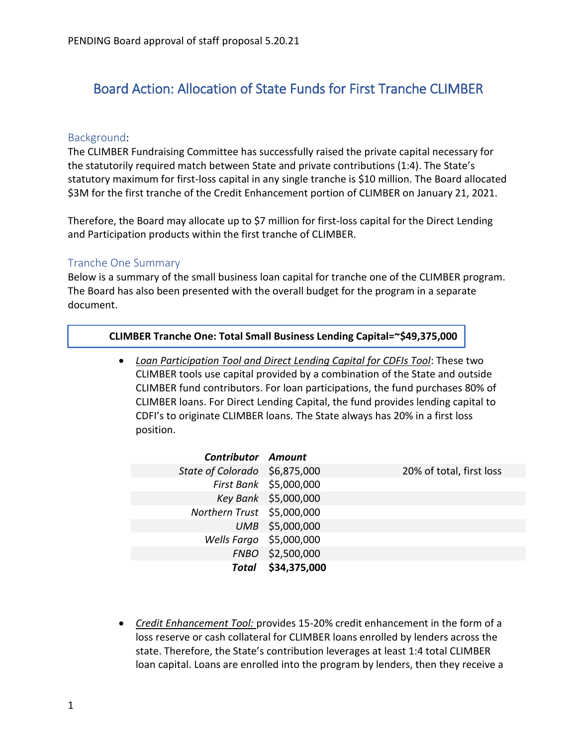# Board Action: Allocation of State Funds for First Tranche CLIMBER

### Background:

The CLIMBER Fundraising Committee has successfully raised the private capital necessary for the statutorily required match between State and private contributions (1:4). The State's statutory maximum for first-loss capital in any single tranche is \$10 million. The Board allocated \$3M for the first tranche of the Credit Enhancement portion of CLIMBER on January 21, 2021.

Therefore, the Board may allocate up to \$7 million for first-loss capital for the Direct Lending and Participation products within the first tranche of CLIMBER.

### Tranche One Summary

Below is a summary of the small business loan capital for tranche one of the CLIMBER program. The Board has also been presented with the overall budget for the program in a separate document.

#### **CLIMBER Tranche One: Total Small Business Lending Capital=~\$49,375,000**

 *Loan Participation Tool and Direct Lending Capital for CDFIs Tool*: These two CLIMBER tools use capital provided by a combination of the State and outside CLIMBER fund contributors. For loan participations, the fund purchases 80% of CLIMBER loans. For Direct Lending Capital, the fund provides lending capital to CDFI's to originate CLIMBER loans. The State always has 20% in a first loss position.

| <b>Contributor Amount</b>     |                        |                          |
|-------------------------------|------------------------|--------------------------|
| State of Colorado \$6,875,000 |                        | 20% of total, first loss |
|                               | First Bank \$5,000,000 |                          |
|                               | Key Bank \$5,000,000   |                          |
| Northern Trust \$5,000,000    |                        |                          |
|                               | UMB \$5,000,000        |                          |
| Wells Fargo \$5,000,000       |                        |                          |
|                               | FNBO \$2,500,000       |                          |
|                               | Total \$34,375,000     |                          |

 *Credit Enhancement Tool:* provides 15-20% credit enhancement in the form of a loss reserve or cash collateral for CLIMBER loans enrolled by lenders across the state. Therefore, the State's contribution leverages at least 1:4 total CLIMBER loan capital. Loans are enrolled into the program by lenders, then they receive a